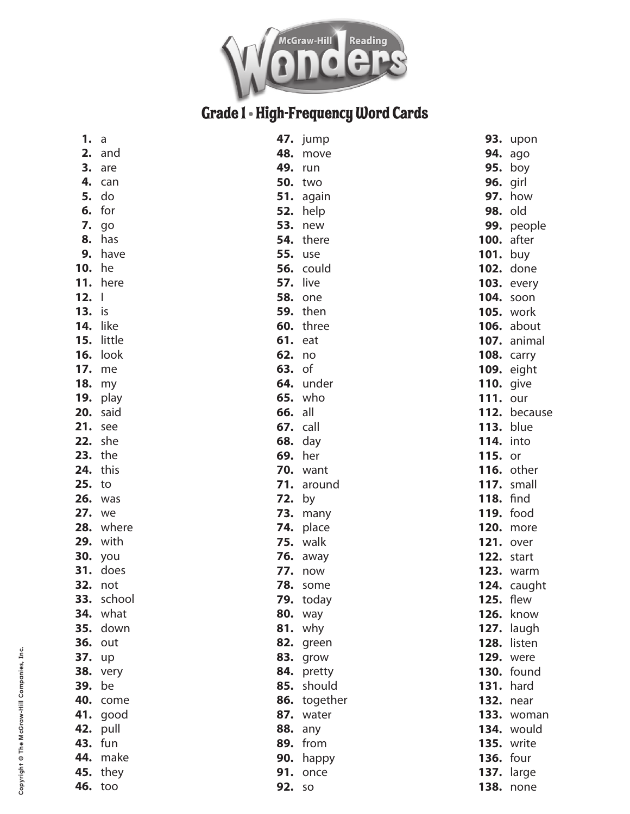

## Grade 1 - High-Frequency Word Cards

| a               |                                                                                                                                                                                                                                                                                                                                                                                                                                                                                               |                                                                                                                                                                                                                                                                                                                                                                                                                                                                                                                                                                                                                                                                                                                                                                                      | <b>93.</b> upon                                                                                                                                                                                                                                                                                                                                                                                                                                                   |
|-----------------|-----------------------------------------------------------------------------------------------------------------------------------------------------------------------------------------------------------------------------------------------------------------------------------------------------------------------------------------------------------------------------------------------------------------------------------------------------------------------------------------------|--------------------------------------------------------------------------------------------------------------------------------------------------------------------------------------------------------------------------------------------------------------------------------------------------------------------------------------------------------------------------------------------------------------------------------------------------------------------------------------------------------------------------------------------------------------------------------------------------------------------------------------------------------------------------------------------------------------------------------------------------------------------------------------|-------------------------------------------------------------------------------------------------------------------------------------------------------------------------------------------------------------------------------------------------------------------------------------------------------------------------------------------------------------------------------------------------------------------------------------------------------------------|
| 2. and          |                                                                                                                                                                                                                                                                                                                                                                                                                                                                                               |                                                                                                                                                                                                                                                                                                                                                                                                                                                                                                                                                                                                                                                                                                                                                                                      | <b>94.</b> ago                                                                                                                                                                                                                                                                                                                                                                                                                                                    |
| 3. are          |                                                                                                                                                                                                                                                                                                                                                                                                                                                                                               |                                                                                                                                                                                                                                                                                                                                                                                                                                                                                                                                                                                                                                                                                                                                                                                      | $95.$ boy                                                                                                                                                                                                                                                                                                                                                                                                                                                         |
| 4. can          |                                                                                                                                                                                                                                                                                                                                                                                                                                                                                               |                                                                                                                                                                                                                                                                                                                                                                                                                                                                                                                                                                                                                                                                                                                                                                                      | <b>96.</b> girl                                                                                                                                                                                                                                                                                                                                                                                                                                                   |
| do              |                                                                                                                                                                                                                                                                                                                                                                                                                                                                                               |                                                                                                                                                                                                                                                                                                                                                                                                                                                                                                                                                                                                                                                                                                                                                                                      | <b>97.</b> how                                                                                                                                                                                                                                                                                                                                                                                                                                                    |
| $6.$ for        |                                                                                                                                                                                                                                                                                                                                                                                                                                                                                               | <b>98. old</b>                                                                                                                                                                                                                                                                                                                                                                                                                                                                                                                                                                                                                                                                                                                                                                       |                                                                                                                                                                                                                                                                                                                                                                                                                                                                   |
| <b>7.</b> go    |                                                                                                                                                                                                                                                                                                                                                                                                                                                                                               |                                                                                                                                                                                                                                                                                                                                                                                                                                                                                                                                                                                                                                                                                                                                                                                      | 99. people                                                                                                                                                                                                                                                                                                                                                                                                                                                        |
| has             |                                                                                                                                                                                                                                                                                                                                                                                                                                                                                               |                                                                                                                                                                                                                                                                                                                                                                                                                                                                                                                                                                                                                                                                                                                                                                                      | <b>100.</b> after                                                                                                                                                                                                                                                                                                                                                                                                                                                 |
| have            |                                                                                                                                                                                                                                                                                                                                                                                                                                                                                               | <b>101.</b> buy                                                                                                                                                                                                                                                                                                                                                                                                                                                                                                                                                                                                                                                                                                                                                                      |                                                                                                                                                                                                                                                                                                                                                                                                                                                                   |
| <b>10.</b> he   |                                                                                                                                                                                                                                                                                                                                                                                                                                                                                               |                                                                                                                                                                                                                                                                                                                                                                                                                                                                                                                                                                                                                                                                                                                                                                                      | <b>102.</b> done                                                                                                                                                                                                                                                                                                                                                                                                                                                  |
| <b>11.</b> here |                                                                                                                                                                                                                                                                                                                                                                                                                                                                                               |                                                                                                                                                                                                                                                                                                                                                                                                                                                                                                                                                                                                                                                                                                                                                                                      | <b>103.</b> every                                                                                                                                                                                                                                                                                                                                                                                                                                                 |
| $12. \perp$     |                                                                                                                                                                                                                                                                                                                                                                                                                                                                                               |                                                                                                                                                                                                                                                                                                                                                                                                                                                                                                                                                                                                                                                                                                                                                                                      | <b>104.</b> soon                                                                                                                                                                                                                                                                                                                                                                                                                                                  |
|                 |                                                                                                                                                                                                                                                                                                                                                                                                                                                                                               |                                                                                                                                                                                                                                                                                                                                                                                                                                                                                                                                                                                                                                                                                                                                                                                      | <b>105.</b> work                                                                                                                                                                                                                                                                                                                                                                                                                                                  |
|                 |                                                                                                                                                                                                                                                                                                                                                                                                                                                                                               |                                                                                                                                                                                                                                                                                                                                                                                                                                                                                                                                                                                                                                                                                                                                                                                      | <b>106.</b> about                                                                                                                                                                                                                                                                                                                                                                                                                                                 |
|                 |                                                                                                                                                                                                                                                                                                                                                                                                                                                                                               |                                                                                                                                                                                                                                                                                                                                                                                                                                                                                                                                                                                                                                                                                                                                                                                      | <b>107.</b> animal                                                                                                                                                                                                                                                                                                                                                                                                                                                |
|                 |                                                                                                                                                                                                                                                                                                                                                                                                                                                                                               |                                                                                                                                                                                                                                                                                                                                                                                                                                                                                                                                                                                                                                                                                                                                                                                      |                                                                                                                                                                                                                                                                                                                                                                                                                                                                   |
|                 |                                                                                                                                                                                                                                                                                                                                                                                                                                                                                               |                                                                                                                                                                                                                                                                                                                                                                                                                                                                                                                                                                                                                                                                                                                                                                                      |                                                                                                                                                                                                                                                                                                                                                                                                                                                                   |
|                 |                                                                                                                                                                                                                                                                                                                                                                                                                                                                                               |                                                                                                                                                                                                                                                                                                                                                                                                                                                                                                                                                                                                                                                                                                                                                                                      |                                                                                                                                                                                                                                                                                                                                                                                                                                                                   |
|                 |                                                                                                                                                                                                                                                                                                                                                                                                                                                                                               |                                                                                                                                                                                                                                                                                                                                                                                                                                                                                                                                                                                                                                                                                                                                                                                      |                                                                                                                                                                                                                                                                                                                                                                                                                                                                   |
|                 |                                                                                                                                                                                                                                                                                                                                                                                                                                                                                               |                                                                                                                                                                                                                                                                                                                                                                                                                                                                                                                                                                                                                                                                                                                                                                                      | 112. because                                                                                                                                                                                                                                                                                                                                                                                                                                                      |
|                 |                                                                                                                                                                                                                                                                                                                                                                                                                                                                                               |                                                                                                                                                                                                                                                                                                                                                                                                                                                                                                                                                                                                                                                                                                                                                                                      |                                                                                                                                                                                                                                                                                                                                                                                                                                                                   |
|                 |                                                                                                                                                                                                                                                                                                                                                                                                                                                                                               |                                                                                                                                                                                                                                                                                                                                                                                                                                                                                                                                                                                                                                                                                                                                                                                      |                                                                                                                                                                                                                                                                                                                                                                                                                                                                   |
|                 |                                                                                                                                                                                                                                                                                                                                                                                                                                                                                               |                                                                                                                                                                                                                                                                                                                                                                                                                                                                                                                                                                                                                                                                                                                                                                                      |                                                                                                                                                                                                                                                                                                                                                                                                                                                                   |
|                 |                                                                                                                                                                                                                                                                                                                                                                                                                                                                                               |                                                                                                                                                                                                                                                                                                                                                                                                                                                                                                                                                                                                                                                                                                                                                                                      |                                                                                                                                                                                                                                                                                                                                                                                                                                                                   |
|                 |                                                                                                                                                                                                                                                                                                                                                                                                                                                                                               |                                                                                                                                                                                                                                                                                                                                                                                                                                                                                                                                                                                                                                                                                                                                                                                      |                                                                                                                                                                                                                                                                                                                                                                                                                                                                   |
|                 |                                                                                                                                                                                                                                                                                                                                                                                                                                                                                               |                                                                                                                                                                                                                                                                                                                                                                                                                                                                                                                                                                                                                                                                                                                                                                                      |                                                                                                                                                                                                                                                                                                                                                                                                                                                                   |
|                 |                                                                                                                                                                                                                                                                                                                                                                                                                                                                                               |                                                                                                                                                                                                                                                                                                                                                                                                                                                                                                                                                                                                                                                                                                                                                                                      |                                                                                                                                                                                                                                                                                                                                                                                                                                                                   |
|                 |                                                                                                                                                                                                                                                                                                                                                                                                                                                                                               |                                                                                                                                                                                                                                                                                                                                                                                                                                                                                                                                                                                                                                                                                                                                                                                      |                                                                                                                                                                                                                                                                                                                                                                                                                                                                   |
|                 |                                                                                                                                                                                                                                                                                                                                                                                                                                                                                               |                                                                                                                                                                                                                                                                                                                                                                                                                                                                                                                                                                                                                                                                                                                                                                                      |                                                                                                                                                                                                                                                                                                                                                                                                                                                                   |
|                 |                                                                                                                                                                                                                                                                                                                                                                                                                                                                                               |                                                                                                                                                                                                                                                                                                                                                                                                                                                                                                                                                                                                                                                                                                                                                                                      |                                                                                                                                                                                                                                                                                                                                                                                                                                                                   |
|                 |                                                                                                                                                                                                                                                                                                                                                                                                                                                                                               |                                                                                                                                                                                                                                                                                                                                                                                                                                                                                                                                                                                                                                                                                                                                                                                      |                                                                                                                                                                                                                                                                                                                                                                                                                                                                   |
|                 |                                                                                                                                                                                                                                                                                                                                                                                                                                                                                               |                                                                                                                                                                                                                                                                                                                                                                                                                                                                                                                                                                                                                                                                                                                                                                                      |                                                                                                                                                                                                                                                                                                                                                                                                                                                                   |
|                 |                                                                                                                                                                                                                                                                                                                                                                                                                                                                                               |                                                                                                                                                                                                                                                                                                                                                                                                                                                                                                                                                                                                                                                                                                                                                                                      |                                                                                                                                                                                                                                                                                                                                                                                                                                                                   |
|                 |                                                                                                                                                                                                                                                                                                                                                                                                                                                                                               |                                                                                                                                                                                                                                                                                                                                                                                                                                                                                                                                                                                                                                                                                                                                                                                      |                                                                                                                                                                                                                                                                                                                                                                                                                                                                   |
|                 |                                                                                                                                                                                                                                                                                                                                                                                                                                                                                               |                                                                                                                                                                                                                                                                                                                                                                                                                                                                                                                                                                                                                                                                                                                                                                                      |                                                                                                                                                                                                                                                                                                                                                                                                                                                                   |
|                 |                                                                                                                                                                                                                                                                                                                                                                                                                                                                                               |                                                                                                                                                                                                                                                                                                                                                                                                                                                                                                                                                                                                                                                                                                                                                                                      |                                                                                                                                                                                                                                                                                                                                                                                                                                                                   |
|                 |                                                                                                                                                                                                                                                                                                                                                                                                                                                                                               |                                                                                                                                                                                                                                                                                                                                                                                                                                                                                                                                                                                                                                                                                                                                                                                      | <b>130.</b> found                                                                                                                                                                                                                                                                                                                                                                                                                                                 |
|                 |                                                                                                                                                                                                                                                                                                                                                                                                                                                                                               |                                                                                                                                                                                                                                                                                                                                                                                                                                                                                                                                                                                                                                                                                                                                                                                      |                                                                                                                                                                                                                                                                                                                                                                                                                                                                   |
|                 |                                                                                                                                                                                                                                                                                                                                                                                                                                                                                               |                                                                                                                                                                                                                                                                                                                                                                                                                                                                                                                                                                                                                                                                                                                                                                                      |                                                                                                                                                                                                                                                                                                                                                                                                                                                                   |
| <b>41.</b> good |                                                                                                                                                                                                                                                                                                                                                                                                                                                                                               |                                                                                                                                                                                                                                                                                                                                                                                                                                                                                                                                                                                                                                                                                                                                                                                      | 133. woman                                                                                                                                                                                                                                                                                                                                                                                                                                                        |
| <b>42. pull</b> |                                                                                                                                                                                                                                                                                                                                                                                                                                                                                               |                                                                                                                                                                                                                                                                                                                                                                                                                                                                                                                                                                                                                                                                                                                                                                                      | <b>134.</b> would                                                                                                                                                                                                                                                                                                                                                                                                                                                 |
| <b>43.</b> fun  |                                                                                                                                                                                                                                                                                                                                                                                                                                                                                               |                                                                                                                                                                                                                                                                                                                                                                                                                                                                                                                                                                                                                                                                                                                                                                                      | <b>135.</b> write                                                                                                                                                                                                                                                                                                                                                                                                                                                 |
| <b>44.</b> make |                                                                                                                                                                                                                                                                                                                                                                                                                                                                                               | <b>136.</b> four                                                                                                                                                                                                                                                                                                                                                                                                                                                                                                                                                                                                                                                                                                                                                                     |                                                                                                                                                                                                                                                                                                                                                                                                                                                                   |
| <b>45.</b> they |                                                                                                                                                                                                                                                                                                                                                                                                                                                                                               |                                                                                                                                                                                                                                                                                                                                                                                                                                                                                                                                                                                                                                                                                                                                                                                      | <b>137.</b> large                                                                                                                                                                                                                                                                                                                                                                                                                                                 |
| <b>46.</b> too  |                                                                                                                                                                                                                                                                                                                                                                                                                                                                                               |                                                                                                                                                                                                                                                                                                                                                                                                                                                                                                                                                                                                                                                                                                                                                                                      | <b>138.</b> none                                                                                                                                                                                                                                                                                                                                                                                                                                                  |
|                 | <b>13.</b> is<br><b>14.</b> like<br>15. little<br><b>16.</b> look<br><b>17.</b> me<br><b>18.</b> my<br><b>19.</b> play<br><b>20.</b> said<br><b>21.</b> see<br><b>22.</b> she<br><b>23.</b> the<br><b>24.</b> this<br>25. to<br><b>26.</b> was<br><b>27.</b> we<br>28. where<br><b>29.</b> with<br><b>30.</b> you<br>31. does<br><b>32.</b> not<br>33. school<br><b>34.</b> what<br><b>35.</b> down<br><b>36.</b> out<br><b>37.</b> up<br><b>38.</b> very<br><b>39.</b> be<br><b>40.</b> come | 47. jump<br>48. move<br><b>49. run</b><br><b>50.</b> two<br>51. again<br><b>52.</b> help<br><b>53.</b> new<br><b>54.</b> there<br><b>55.</b> use<br><b>56.</b> could<br><b>57.</b> live<br><b>58.</b> one<br><b>59. then</b><br>60. three<br><b>61.</b> eat<br>62. no<br><b>63.</b> of<br>64. under<br><b>65.</b> who<br><b>66.</b> all<br><b>67.</b> call<br><b>68.</b> day<br><b>69.</b> her<br><b>70.</b> want<br>71. around<br><b>72.</b> by<br><b>73.</b> many<br>74. place<br><b>75.</b> walk<br><b>76.</b> away<br><b>77.</b> now<br><b>78.</b> some<br>79. today<br><b>80.</b> way<br><b>81.</b> why<br>82. green<br><b>83.</b> grow<br>84. pretty<br>85. should<br>86. together<br>87. water<br><b>88.</b> any<br><b>89.</b> from<br>90. happy<br>91. once<br><b>92.</b> so | <b>108. carry</b><br>109. eight<br><b>110.</b> give<br><b>111. our</b><br><b>113.</b> blue<br><b>114.</b> into<br><b>115.</b> or<br><b>116.</b> other<br><b>117.</b> small<br><b>118.</b> find<br><b>119.</b> food<br><b>120.</b> more<br><b>121.</b> over<br><b>122.</b> start<br><b>123.</b> warm<br>124. caught<br><b>125.</b> flew<br><b>126. know</b><br><b>127.</b> laugh<br><b>128.</b> listen<br><b>129.</b> were<br><b>131.</b> hard<br><b>132.</b> near |